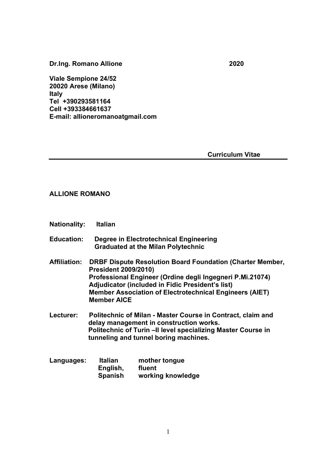Dr.Ing. Romano Allione 2020

Viale Sempione 24/52 20020 Arese (Milano) Italy Tel +390293581164 Cell +393384661637 E-mail: allioneromanoatgmail.com

Curriculum Vitae

## ALLIONE ROMANO

- Nationality: Italian
- Education: Degree in Electrotechnical Engineering Graduated at the Milan Polytechnic
- Affiliation: DRBF Dispute Resolution Board Foundation (Charter Member, President 2009/2010) Professional Engineer (Ordine degli Ingegneri P.Mi.21074) Adjudicator (included in Fidic President's list) Member Association of Electrotechnical Engineers (AIET) Member AICE
- Lecturer: Politechnic of Milan Master Course in Contract, claim and delay management in construction works. Politechnic of Turin –II level specializing Master Course in tunneling and tunnel boring machines.

| Languages: | <b>Italian</b> | mother tongue     |
|------------|----------------|-------------------|
|            | English,       | fluent            |
|            | <b>Spanish</b> | working knowledge |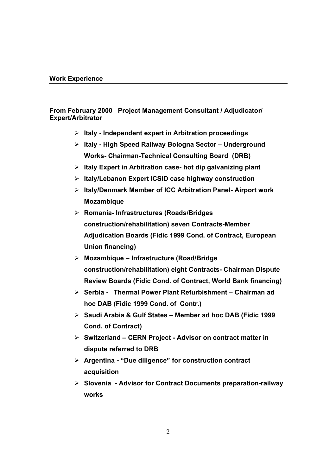## Work Experience

## From February 2000 Project Management Consultant / Adjudicator/ Expert/Arbitrator

- $\triangleright$  Italy Independent expert in Arbitration proceedings
- $\triangleright$  Italy High Speed Railway Bologna Sector Underground Works- Chairman-Technical Consulting Board (DRB)
- $\triangleright$  Italy Expert in Arbitration case- hot dip galvanizing plant
- $\triangleright$  Italy/Lebanon Expert ICSID case highway construction
- $\triangleright$  Italy/Denmark Member of ICC Arbitration Panel-Airport work Mozambique
- Romania- Infrastructures (Roads/Bridges construction/rehabilitation) seven Contracts-Member Adjudication Boards (Fidic 1999 Cond. of Contract, European Union financing)
- $\triangleright$  Mozambique Infrastructure (Road/Bridge) construction/rehabilitation) eight Contracts- Chairman Dispute Review Boards (Fidic Cond. of Contract, World Bank financing)
- $\triangleright$  Serbia Thermal Power Plant Refurbishment Chairman ad hoc DAB (Fidic 1999 Cond. of Contr.)
- $\triangleright$  Saudi Arabia & Gulf States Member ad hoc DAB (Fidic 1999 Cond. of Contract)
- $\triangleright$  Switzerland CERN Project Advisor on contract matter in dispute referred to DRB
- $\triangleright$  Argentina "Due diligence" for construction contract acquisition
- $\triangleright$  Slovenia Advisor for Contract Documents preparation-railway works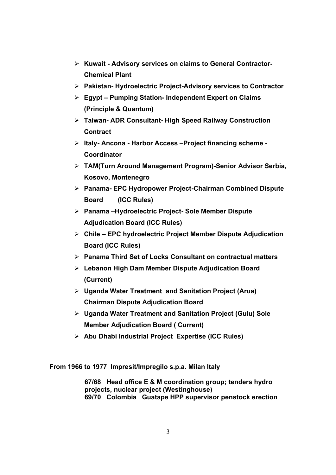- $\triangleright$  Kuwait Advisory services on claims to General Contractor-Chemical Plant
- $\triangleright$  Pakistan-Hydroelectric Project-Advisory services to Contractor
- $\triangleright$  Egypt Pumping Station- Independent Expert on Claims (Principle & Quantum)
- Taiwan- ADR Consultant- High Speed Railway Construction **Contract**
- > Italy- Ancona Harbor Access Project financing scheme -**Coordinator**
- TAM(Turn Around Management Program)-Senior Advisor Serbia, Kosovo, Montenegro
- Panama- EPC Hydropower Project-Chairman Combined Dispute Board (ICC Rules)
- $\triangleright$  Panama –Hydroelectric Project- Sole Member Dispute Adjudication Board (ICC Rules)
- $\triangleright$  Chile EPC hydroelectric Project Member Dispute Adjudication Board (ICC Rules)
- $\triangleright$  Panama Third Set of Locks Consultant on contractual matters
- $\triangleright$  Lebanon High Dam Member Dispute Adjudication Board (Current)
- $\triangleright$  Uganda Water Treatment and Sanitation Project (Arua) Chairman Dispute Adjudication Board
- Uganda Water Treatment and Sanitation Project (Gulu) Sole Member Adjudication Board ( Current)
- $\triangleright$  Abu Dhabi Industrial Project Expertise (ICC Rules)

From 1966 to 1977 Impresit/Impregilo s.p.a. Milan Italy

67/68 Head office E & M coordination group; tenders hydro projects, nuclear project (Westinghouse) 69/70 Colombia Guatape HPP supervisor penstock erection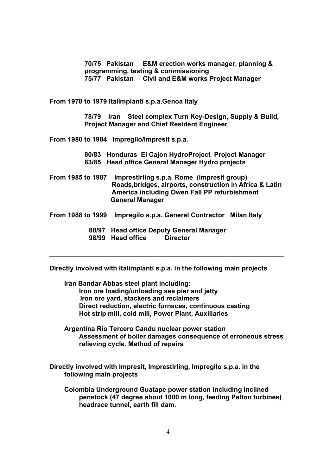70/75 Pakistan E&M erection works manager, planning & programming, testing & commissioning 75/77 Pakistan Civil and E&M works Project Manager

From 1978 to 1979 Italimpianti s.p.a.Genoa Italy

78/79 Iran Steel complex Turn Key-Design, Supply & Build, Project Manager and Chief Resident Engineer

From 1980 to 1984 Impregilo/Impresit s.p.a.

80/83 Honduras El Cajon HydroProject Project Manager 83/85 Head office General Manager Hydro projects

From 1985 to 1987 Imprestirling s.p.a. Rome (Impresit group) Roads,bridges, airports, construction in Africa & Latin America including Owen Fall PP refurbishment General Manager

From 1988 to 1999 Impregilo s.p.a. General Contractor Milan Italy

 88/97 Head office Deputy General Manager 98/99 Head office Director

Directly involved with Italimpianti s.p.a. in the following main projects

\_\_\_\_\_\_\_\_\_\_\_\_\_\_\_\_\_\_\_\_\_\_\_\_\_\_\_\_\_\_\_\_\_\_\_\_\_\_\_\_\_\_\_\_\_\_\_\_\_\_\_\_\_\_\_\_\_\_\_\_\_\_\_\_

Iran Bandar Abbas steel plant including: Iron ore loading/unloading sea pier and jetty Iron ore yard, stackers and reclaimers Direct reduction, electric furnaces, continuous casting Hot strip mill, cold mill, Power Plant, Auxiliaries

Argentina Rio Tercero Candu nuclear power station Assessment of boiler damages consequence of erroneous stress relieving cycle. Method of repairs

Directly involved with Impresit, Imprestirling, Impregilo s.p.a. in the following main projects

Colombia Underground Guatape power station including inclined penstock (47 degree about 1000 m long, feeding Pelton turbines) headrace tunnel, earth fill dam.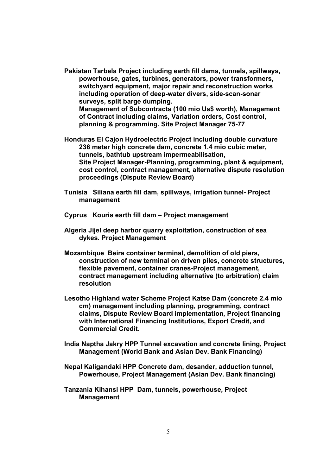- Pakistan Tarbela Project including earth fill dams, tunnels, spillways, powerhouse, gates, turbines, generators, power transformers, switchyard equipment, major repair and reconstruction works including operation of deep-water divers, side-scan-sonar surveys, split barge dumping. Management of Subcontracts (100 mio Us\$ worth), Management of Contract including claims, Variation orders, Cost control, planning & programming. Site Project Manager 75-77
- Honduras El Cajon Hydroelectric Project including double curvature 236 meter high concrete dam, concrete 1.4 mio cubic meter, tunnels, bathtub upstream impermeabilisation, Site Project Manager-Planning, programming, plant & equipment, cost control, contract management, alternative dispute resolution proceedings (Dispute Review Board)
- Tunisia Siliana earth fill dam, spillways, irrigation tunnel- Project management
- Cyprus Kouris earth fill dam Project management
- Algeria Jijel deep harbor quarry exploitation, construction of sea dykes. Project Management
- Mozambique Beira container terminal, demolition of old piers, construction of new terminal on driven piles, concrete structures, flexible pavement, container cranes-Project management, contract management including alternative (to arbitration) claim resolution
- Lesotho Highland water Scheme Project Katse Dam (concrete 2.4 mio cm) management including planning, programming, contract claims, Dispute Review Board implementation, Project financing with International Financing Institutions, Export Credit, and Commercial Credit.
- India Naptha Jakry HPP Tunnel excavation and concrete lining, Project Management (World Bank and Asian Dev. Bank Financing)
- Nepal Kaligandaki HPP Concrete dam, desander, adduction tunnel, Powerhouse, Project Management (Asian Dev. Bank financing)
- Tanzania Kihansi HPP Dam, tunnels, powerhouse, Project Management